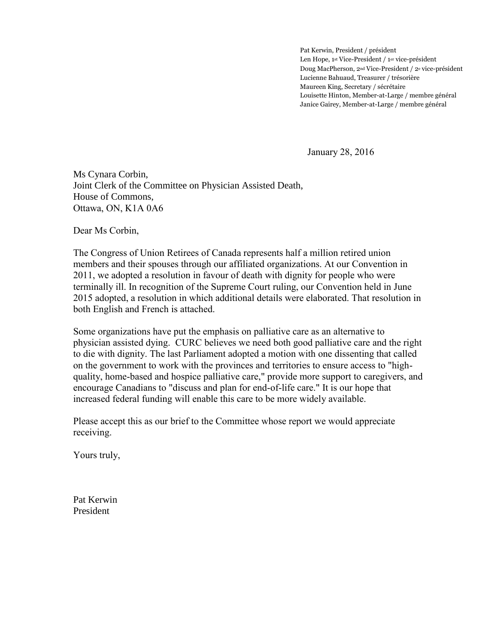Pat Kerwin, President / président Len Hope, 1st Vice-President / 1er vice-président Doug MacPherson, 2nd Vice-President / 2<sup>e</sup> vice-président Lucienne Bahuaud, Treasurer / trésorière Maureen King, Secretary / sécrétaire Louisette Hinton, Member-at-Large / membre général Janice Gairey, Member-at-Large / membre général

January 28, 2016

Ms Cynara Corbin, Joint Clerk of the Committee on Physician Assisted Death, House of Commons, Ottawa, ON, K1A 0A6

Dear Ms Corbin,

The Congress of Union Retirees of Canada represents half a million retired union members and their spouses through our affiliated organizations. At our Convention in 2011, we adopted a resolution in favour of death with dignity for people who were terminally ill. In recognition of the Supreme Court ruling, our Convention held in June 2015 adopted, a resolution in which additional details were elaborated. That resolution in both English and French is attached.

Some organizations have put the emphasis on palliative care as an alternative to physician assisted dying. CURC believes we need both good palliative care and the right to die with dignity. The last Parliament adopted a motion with one dissenting that called on the government to work with the provinces and territories to ensure access to "highquality, home-based and hospice palliative care," provide more support to caregivers, and encourage Canadians to "discuss and plan for end-of-life care." It is our hope that increased federal funding will enable this care to be more widely available.

Please accept this as our brief to the Committee whose report we would appreciate receiving.

Yours truly,

Pat Kerwin President